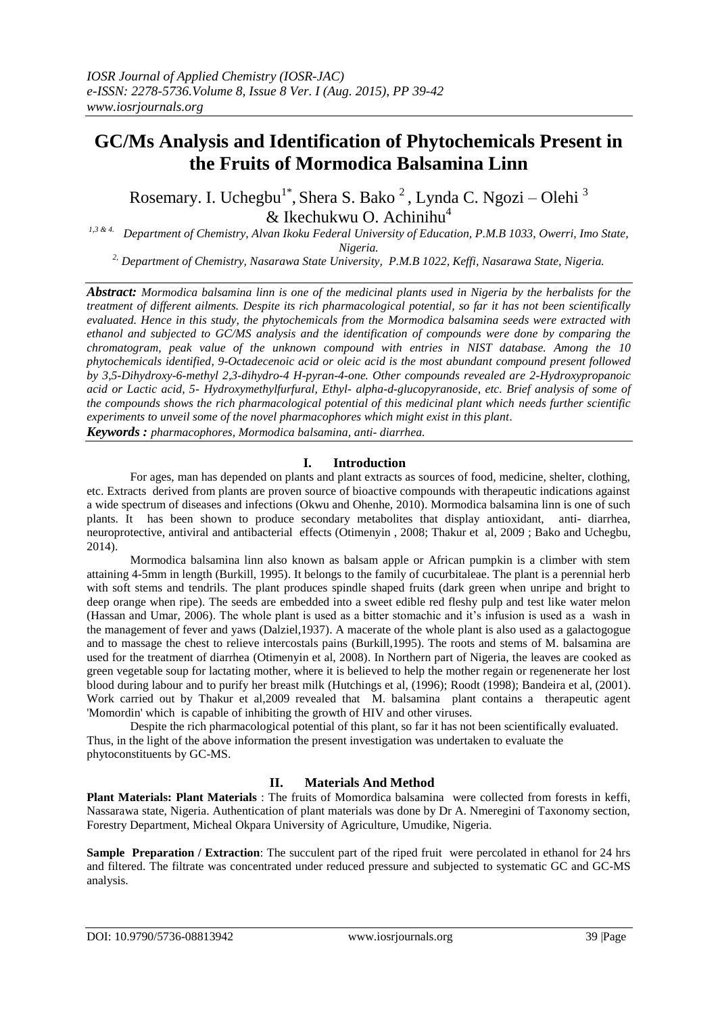# **GC/Ms Analysis and Identification of Phytochemicals Present in the Fruits of Mormodica Balsamina Linn**

Rosemary. I. Uchegbu<sup>1\*</sup>, Shera S. Bako<sup>2</sup>, Lynda C. Ngozi – Olehi<sup>3</sup>  $&$  Ikechukwu O. Achinihu<sup>4</sup>

*1,3 & 4. Department of Chemistry, Alvan Ikoku Federal University of Education, P.M.B 1033, Owerri, Imo State, Nigeria.*

*2, Department of Chemistry, Nasarawa State University, P.M.B 1022, Keffi, Nasarawa State, Nigeria.*

*Abstract: Mormodica balsamina linn is one of the medicinal plants used in Nigeria by the herbalists for the treatment of different ailments. Despite its rich pharmacological potential, so far it has not been scientifically evaluated. Hence in this study, the phytochemicals from the Mormodica balsamina seeds were extracted with ethanol and subjected to GC/MS analysis and the identification of compounds were done by comparing the chromatogram, peak value of the unknown compound with entries in NIST database. Among the 10 phytochemicals identified, 9-Octadecenoic acid or oleic acid is the most abundant compound present followed by 3,5-Dihydroxy-6-methyl 2,3-dihydro-4 H-pyran-4-one. Other compounds revealed are 2-Hydroxypropanoic acid or Lactic acid, 5- Hydroxymethylfurfural, Ethyl- alpha-d-glucopyranoside, etc. Brief analysis of some of the compounds shows the rich pharmacological potential of this medicinal plant which needs further scientific experiments to unveil some of the novel pharmacophores which might exist in this plant.*

*Keywords : pharmacophores, Mormodica balsamina, anti- diarrhea.*

# **I. Introduction**

For ages, man has depended on plants and plant extracts as sources of food, medicine, shelter, clothing, etc. Extracts derived from plants are proven source of bioactive compounds with therapeutic indications against a wide spectrum of diseases and infections (Okwu and Ohenhe, 2010). Mormodica balsamina linn is one of such plants. It has been shown to produce secondary metabolites that display antioxidant, anti- diarrhea, neuroprotective, antiviral and antibacterial effects (Otimenyin , 2008; [Thakur et al,](http://www.ncbi.nlm.nih.gov/pubmed?term=Thakur%20GS%5BAuthor%5D&cauthor=true&cauthor_uid=19751180) 2009 ; Bako and Uchegbu, 2014).

Mormodica balsamina linn also known as balsam apple or African pumpkin is a climber with stem attaining 4-5mm in length (Burkill, 1995). It belongs to the family of cucurbitaleae. The plant is a perennial herb with soft stems and tendrils. The plant produces spindle shaped fruits (dark green when unripe and bright to deep orange when ripe). The seeds are embedded into a sweet edible red fleshy pulp and test like water melon (Hassan and Umar, 2006). The whole plant is used as a bitter stomachic and it's infusion is used as a wash in the management of fever and yaws (Dalziel,1937). A macerate of the whole plant is also used as a galactogogue and to massage the chest to relieve intercostals pains (Burkill,1995). The roots and stems of M. balsamina are used for the treatment of diarrhea (Otimenyin et al, 2008). In Northern part of Nigeria, the leaves are cooked as green vegetable soup for lactating mother, where it is believed to help the mother regain or regenenerate her lost blood during labour and to purify her breast milk (Hutchings et al, (1996); Roodt (1998); Bandeira et al, (2001). Work carried out by [Thakur et al,](http://www.ncbi.nlm.nih.gov/pubmed?term=Thakur%20GS%5BAuthor%5D&cauthor=true&cauthor_uid=19751180) 2009 revealed that M. balsamina plant contains a therapeutic agent 'Momordin' which is capable of inhibiting the growth of HIV and other viruses.

Despite the rich pharmacological potential of this plant, so far it has not been scientifically evaluated. Thus, in the light of the above information the present investigation was undertaken to evaluate the phytoconstituents by GC-MS.

# **II. Materials And Method**

**Plant Materials: Plant Materials** : The fruits of Momordica balsamina were collected from forests in keffi, Nassarawa state, Nigeria. Authentication of plant materials was done by Dr A. Nmeregini of Taxonomy section, Forestry Department, Micheal Okpara University of Agriculture, Umudike, Nigeria.

**Sample Preparation / <b>Extraction**: The succulent part of the riped fruit were percolated in ethanol for 24 hrs and filtered. The filtrate was concentrated under reduced pressure and subjected to systematic GC and GC-MS analysis.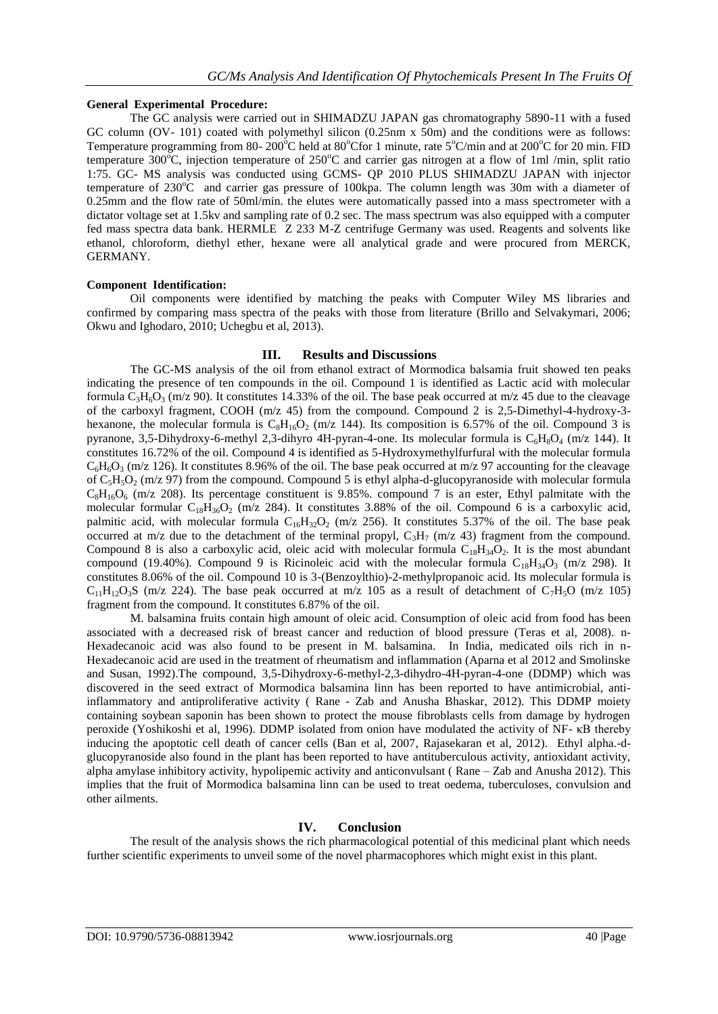## **General Experimental Procedure:**

The GC analysis were carried out in SHIMADZU JAPAN gas chromatography 5890-11 with a fused GC column (OV- 101) coated with polymethyl silicon (0.25nm x 50m) and the conditions were as follows: Temperature programming from 80- 200 $^{\circ}$ C held at 80 $^{\circ}$ Cfor 1 minute, rate 5 $^{\circ}$ C/min and at 200 $^{\circ}$ C for 20 min. FID temperature 300 $^{\circ}$ C, injection temperature of 250 $^{\circ}$ C and carrier gas nitrogen at a flow of 1ml /min, split ratio 1:75. GC- MS analysis was conducted using GCMS- QP 2010 PLUS SHIMADZU JAPAN with injector temperature of  $230^{\circ}\text{C}$  and carrier gas pressure of 100kpa. The column length was 30m with a diameter of 0.25mm and the flow rate of 50ml/min. the elutes were automatically passed into a mass spectrometer with a dictator voltage set at 1.5kv and sampling rate of 0.2 sec. The mass spectrum was also equipped with a computer fed mass spectra data bank. HERMLE Z 233 M-Z centrifuge Germany was used. Reagents and solvents like ethanol, chloroform, diethyl ether, hexane were all analytical grade and were procured from MERCK, GERMANY.

#### **Component Identification:**

Oil components were identified by matching the peaks with Computer Wiley MS libraries and confirmed by comparing mass spectra of the peaks with those from literature (Brillo and Selvakymari, 2006; Okwu and Ighodaro, 2010; Uchegbu et al, 2013).

#### **III. Results and Discussions**

The GC-MS analysis of the oil from ethanol extract of Mormodica balsamia fruit showed ten peaks indicating the presence of ten compounds in the oil. Compound 1 is identified as Lactic acid with molecular formula C<sub>3</sub>H<sub>6</sub>O<sub>3</sub> (m/z 90). It constitutes 14.33% of the oil. The base peak occurred at m/z 45 due to the cleavage of the carboxyl fragment, COOH (m/z 45) from the compound. Compound 2 is 2,5-Dimethyl-4-hydroxy-3 hexanone, the molecular formula is  $C_8H_{16}O_2$  (m/z 144). Its composition is 6.57% of the oil. Compound 3 is pyranone, 3,5-Dihydroxy-6-methyl 2,3-dihyro 4H-pyran-4-one. Its molecular formula is  $C_6H_8O_4$  (m/z 144). It constitutes 16.72% of the oil. Compound 4 is identified as 5-Hydroxymethylfurfural with the molecular formula  $C_6H_6O_3$  (m/z 126). It constitutes 8.96% of the oil. The base peak occurred at m/z 97 accounting for the cleavage of  $C_5H_5O_2$  (m/z 97) from the compound. Compound 5 is ethyl alpha-d-glucopyranoside with molecular formula  $C_8H_{16}O_6$  (m/z 208). Its percentage constituent is 9.85%. compound 7 is an ester, Ethyl palmitate with the molecular formular  $C_{18}H_{36}O_2$  (m/z 284). It constitutes 3.88% of the oil. Compound 6 is a carboxylic acid, palmitic acid, with molecular formula  $C_{16}H_{32}O_2$  (m/z 256). It constitutes 5.37% of the oil. The base peak occurred at m/z due to the detachment of the terminal propyl,  $C_3H_7$  (m/z 43) fragment from the compound. Compound 8 is also a carboxylic acid, oleic acid with molecular formula  $C_{18}H_{34}O_2$ . It is the most abundant compound (19.40%). Compound 9 is Ricinoleic acid with the molecular formula  $C_{18}H_{34}O_3$  (m/z 298). It constitutes 8.06% of the oil. Compound 10 is 3-(Benzoylthio)-2-methylpropanoic acid. Its molecular formula is  $C_{11}H_{12}O_3S$  (m/z 224). The base peak occurred at m/z 105 as a result of detachment of  $C_7H_3O$  (m/z 105) fragment from the compound. It constitutes 6.87% of the oil.

M. balsamina fruits contain high amount of oleic acid. Consumption of oleic acid from food has been associated with a decreased risk of breast cancer and reduction of blood pressure (Teras et al, 2008). n-Hexadecanoic acid was also found to be present in M. balsamina. In India, medicated oils rich in n-Hexadecanoic acid are used in the treatment of rheumatism and inflammation (Aparna et al 2012 and Smolinske and Susan, 1992).The compound, 3,5-Dihydroxy-6-methyl-2,3-dihydro-4H-pyran-4-one (DDMP) which was discovered in the seed extract of Mormodica balsamina linn has been reported to have antimicrobial, antiinflammatory and antiproliferative activity ( Rane - Zab and Anusha Bhaskar, 2012). This DDMP moiety containing soybean saponin has been shown to protect the mouse fibroblasts cells from damage by hydrogen peroxide (Yoshikoshi et al, 1996). DDMP isolated from onion have modulated the activity of NF- κB thereby inducing the apoptotic cell death of cancer cells (Ban et al, 2007, Rajasekaran et al, 2012). Ethyl alpha.-dglucopyranoside also found in the plant has been reported to have antituberculous activity, antioxidant activity, alpha amylase inhibitory activity, hypolipemic activity and anticonvulsant ( Rane – Zab and Anusha 2012). This implies that the fruit of Mormodica balsamina linn can be used to treat oedema, tuberculoses, convulsion and other ailments.

## **IV. Conclusion**

The result of the analysis shows the rich pharmacological potential of this medicinal plant which needs further scientific experiments to unveil some of the novel pharmacophores which might exist in this plant.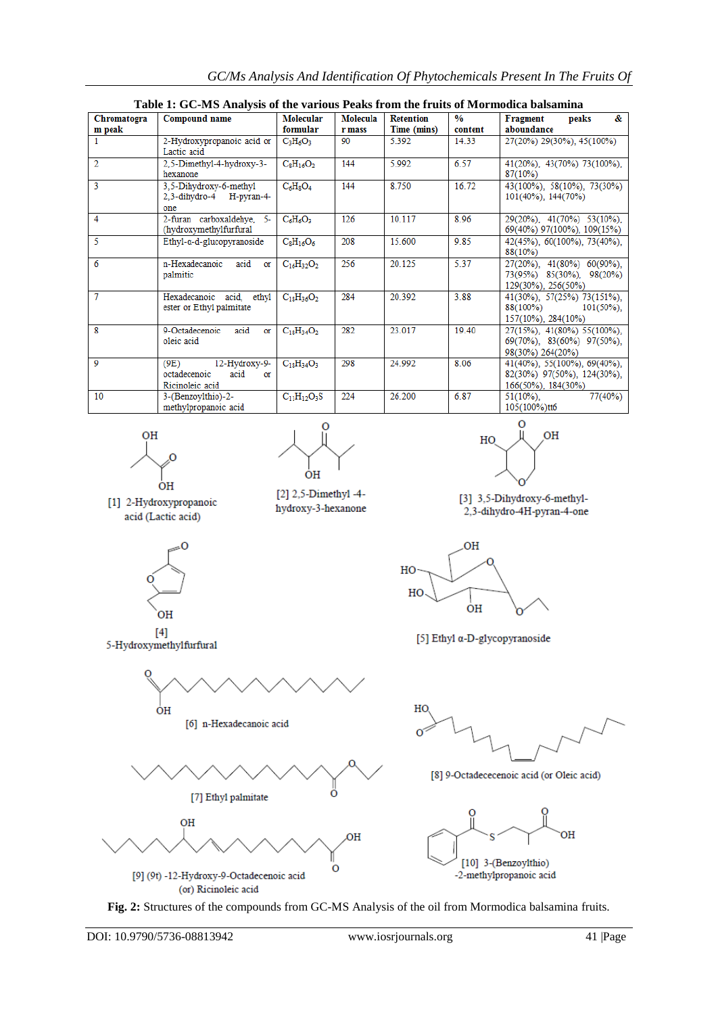| Table 1: GC-MS Analysis of the various Peaks from the fruits of Mormodica balsamina |                                                                        |                       |                    |                                 |                          |                                                                                        |
|-------------------------------------------------------------------------------------|------------------------------------------------------------------------|-----------------------|--------------------|---------------------------------|--------------------------|----------------------------------------------------------------------------------------|
| Chromatogra<br>m peak                                                               | <b>Compound name</b>                                                   | Molecular<br>formular | Molecula<br>r mass | <b>Retention</b><br>Time (mins) | $\frac{0}{0}$<br>content | &.<br><b>Fragment</b><br>peaks<br>aboundance                                           |
|                                                                                     | 2-Hydroxypropanoic acid or<br>Lactic acid                              | $C_3H_6O_3$           | 90                 | 5.392                           | 14.33                    | 27(20%) 29(30%), 45(100%)                                                              |
| $\overline{2}$                                                                      | 2,5-Dimethyl-4-hydroxy-3-<br>hexanone                                  | $C_8H_{16}O_2$        | 144                | 5.992                           | 6.57                     | 41(20%), 43(70%) 73(100%),<br>$87(10\%)$                                               |
| $\overline{3}$                                                                      | 3,5-Dihydroxy-6-methyl<br>2.3-dihydro-4 H-pyran-4-<br>one              | $C_6H_8O_4$           | 144                | 8.750                           | 16.72                    | 43(100%), 58(10%), 73(30%)<br>101(40%), 144(70%)                                       |
| $\overline{4}$                                                                      | 2-furan carboxaldehye,<br>$-5-$<br>(hydroxymethylfurfural              | $C_6H_6O_3$           | 126                | 10.117                          | 8.96                     | 29(20%), 41(70%) 53(10%),<br>69(40%) 97(100%), 109(15%)                                |
| $\overline{\mathcal{L}}$                                                            | $E$ thyl- $\alpha$ -d-glucopyranoside                                  | $C_8H_{16}O_6$        | 208                | 15.600                          | 9.85                     | 42(45%), 60(100%), 73(40%),<br>88(10%)                                                 |
| $\overline{6}$                                                                      | n-Hexadecanoic<br>acid<br>or<br>palmitic                               | $C_{16}H_{32}O_2$     | 256                | 20.125                          | 5.37                     | 27(20%), 41(80%) 60(90%),<br>73(95%) 85(30%), 98(20%)<br>129(30%), 256(50%)            |
| $\overline{\tau}$                                                                   | Hexadecanoic acid, ethyl<br>ester or Ethyl palmitate                   | $C_{18}H_{36}O_2$     | 284                | 20.392                          | 3.88                     | 41(30%), 57(25%) 73(151%),<br>88(100%)<br>$101(50\%)$ ,<br>157(10%), 284(10%)          |
| $\overline{\mathbf{x}}$                                                             | 9-Octadecenoic<br>acid<br>or<br>oleic acid                             | $C_{18}H_{34}O_2$     | 282                | 23.017                          | 19.40                    | 27(15%), 41(80%) 55(100%),<br>$69(70\%)$ , $83(60\%)$ $97(50\%)$ ,<br>98(30%) 264(20%) |
| $\mathbf{o}$                                                                        | 12-Hydroxy-9-<br>(9E)<br>octadecenoic<br>acid<br>or<br>Ricinoleic acid | $C_{18}H_{34}O_3$     | 298                | 24.992                          | 8.06                     | $41(40\%)$ , 55(100%), 69(40%),<br>82(30%) 97(50%), 124(30%),<br>166(50%), 184(30%)    |
| 10                                                                                  | 3-(Benzoylthio)-2-<br>methylpropanoic acid                             | $C_{11}H_{12}O_3S$    | 224                | 26.200                          | 6.87                     | 77(40%)<br>$51(10\%)$ ,<br>105(100%)tt6                                                |



[1] 2-Hydroxypropanoic

acid (Lactic acid)



[2] 2,5-Dimethyl-4hydroxy-3-hexanone



[3] 3,5-Dihydroxy-6-methyl-2,3-dihydro-4H-pyran-4-one



 $[4]$ 

5-Hydroxymethylfurfural





[5] Ethyl α-D-glycopyranoside





[9] (9t) -12-Hydroxy-9-Octadecenoic acid (or) Ricinoleic acid



[8] 9-Octadececenoic acid (or Oleic acid)



-2-methylpropanoic acid

**Fig. 2:** Structures of the compounds from GC-MS Analysis of the oil from Mormodica balsamina fruits.

 $\overline{O}$